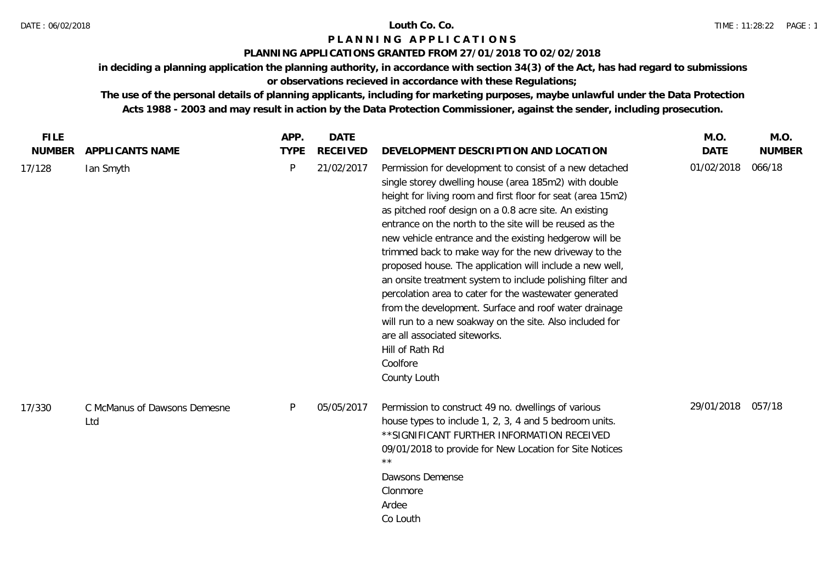### DATE : 06/02/2018 **Louth Co. Co.**

## **P L A N N I N G A P P L I C A T I O N S**

### **PLANNING APPLICATIONS GRANTED FROM 27/01/2018 TO 02/02/2018**

**in deciding a planning application the planning authority, in accordance with section 34(3) of the Act, has had regard to submissions** 

# **or observations recieved in accordance with these Regulations;**

| <b>FILE</b>   |                                     | APP.         | <b>DATE</b>     |                                                                                                                                                                                                                                                                                                                                                                                                                                                                                                                                                                                                                                                                                                                                                                                                                 | M.O.        | M.O.          |
|---------------|-------------------------------------|--------------|-----------------|-----------------------------------------------------------------------------------------------------------------------------------------------------------------------------------------------------------------------------------------------------------------------------------------------------------------------------------------------------------------------------------------------------------------------------------------------------------------------------------------------------------------------------------------------------------------------------------------------------------------------------------------------------------------------------------------------------------------------------------------------------------------------------------------------------------------|-------------|---------------|
| <b>NUMBER</b> | APPLICANTS NAME                     | <b>TYPE</b>  | <b>RECEIVED</b> | DEVELOPMENT DESCRIPTION AND LOCATION                                                                                                                                                                                                                                                                                                                                                                                                                                                                                                                                                                                                                                                                                                                                                                            | <b>DATE</b> | <b>NUMBER</b> |
| 17/128        | lan Smyth                           | $\mathsf{P}$ | 21/02/2017      | Permission for development to consist of a new detached<br>single storey dwelling house (area 185m2) with double<br>height for living room and first floor for seat (area 15m2)<br>as pitched roof design on a 0.8 acre site. An existing<br>entrance on the north to the site will be reused as the<br>new vehicle entrance and the existing hedgerow will be<br>trimmed back to make way for the new driveway to the<br>proposed house. The application will include a new well,<br>an onsite treatment system to include polishing filter and<br>percolation area to cater for the wastewater generated<br>from the development. Surface and roof water drainage<br>will run to a new soakway on the site. Also included for<br>are all associated siteworks.<br>Hill of Rath Rd<br>Coolfore<br>County Louth | 01/02/2018  | 066/18        |
| 17/330        | C McManus of Dawsons Demesne<br>Ltd | P            | 05/05/2017      | Permission to construct 49 no. dwellings of various<br>house types to include 1, 2, 3, 4 and 5 bedroom units.<br>** SIGNIFICANT FURTHER INFORMATION RECEIVED<br>09/01/2018 to provide for New Location for Site Notices<br>$\star\star$<br>Dawsons Demense<br>Clonmore<br>Ardee<br>Co Louth                                                                                                                                                                                                                                                                                                                                                                                                                                                                                                                     | 29/01/2018  | 057/18        |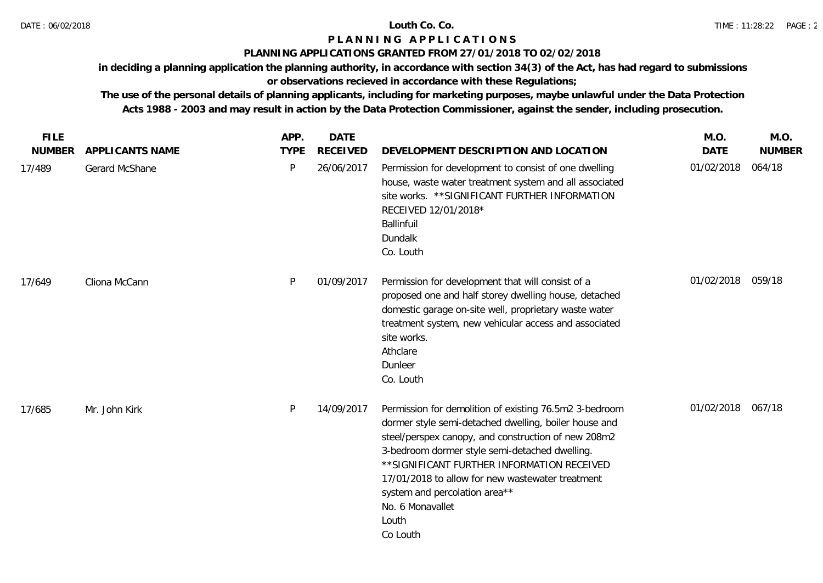### **PLANNING APPLICATIONS GRANTED FROM 27/01/2018 TO 02/02/2018**

**in deciding a planning application the planning authority, in accordance with section 34(3) of the Act, has had regard to submissions** 

# **or observations recieved in accordance with these Regulations;**

| <b>FILE</b>   |                 | APP.         | <b>DATE</b>     |                                                                                                                                                                                                                                                                                                                                                                                                       | M.O.              | M.O.          |
|---------------|-----------------|--------------|-----------------|-------------------------------------------------------------------------------------------------------------------------------------------------------------------------------------------------------------------------------------------------------------------------------------------------------------------------------------------------------------------------------------------------------|-------------------|---------------|
| <b>NUMBER</b> | APPLICANTS NAME | <b>TYPE</b>  | <b>RECEIVED</b> | DEVELOPMENT DESCRIPTION AND LOCATION                                                                                                                                                                                                                                                                                                                                                                  | <b>DATE</b>       | <b>NUMBER</b> |
| 17/489        | Gerard McShane  | $\mathsf{P}$ | 26/06/2017      | Permission for development to consist of one dwelling<br>house, waste water treatment system and all associated<br>site works. ** SIGNIFICANT FURTHER INFORMATION<br>RECEIVED 12/01/2018*<br>Ballinfuil<br>Dundalk<br>Co. Louth                                                                                                                                                                       | 01/02/2018        | 064/18        |
| 17/649        | Cliona McCann   | P            | 01/09/2017      | Permission for development that will consist of a<br>proposed one and half storey dwelling house, detached<br>domestic garage on-site well, proprietary waste water<br>treatment system, new vehicular access and associated<br>site works.<br>Athclare<br>Dunleer<br>Co. Louth                                                                                                                       | 01/02/2018 059/18 |               |
| 17/685        | Mr. John Kirk   | P            | 14/09/2017      | Permission for demolition of existing 76.5m2 3-bedroom<br>dormer style semi-detached dwelling, boiler house and<br>steel/perspex canopy, and construction of new 208m2<br>3-bedroom dormer style semi-detached dwelling.<br>** SIGNIFICANT FURTHER INFORMATION RECEIVED<br>17/01/2018 to allow for new wastewater treatment<br>system and percolation area**<br>No. 6 Monavallet<br>Louth<br>Co Louth | 01/02/2018 067/18 |               |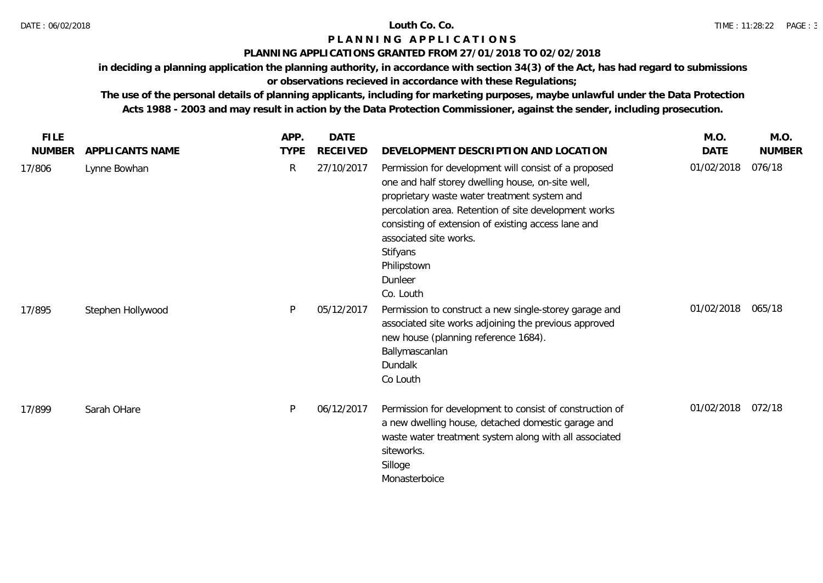### **PLANNING APPLICATIONS GRANTED FROM 27/01/2018 TO 02/02/2018**

**in deciding a planning application the planning authority, in accordance with section 34(3) of the Act, has had regard to submissions** 

# **or observations recieved in accordance with these Regulations;**

| <b>FILE</b>   |                   | APP.        | DATE            |                                                                                                                                                                                                                                                                                                                                                         | M.O.              | M.O.          |
|---------------|-------------------|-------------|-----------------|---------------------------------------------------------------------------------------------------------------------------------------------------------------------------------------------------------------------------------------------------------------------------------------------------------------------------------------------------------|-------------------|---------------|
| <b>NUMBER</b> | APPLICANTS NAME   | <b>TYPE</b> | <b>RECEIVED</b> | DEVELOPMENT DESCRIPTION AND LOCATION                                                                                                                                                                                                                                                                                                                    | <b>DATE</b>       | <b>NUMBER</b> |
| 17/806        | Lynne Bowhan      | R           | 27/10/2017      | Permission for development will consist of a proposed<br>one and half storey dwelling house, on-site well,<br>proprietary waste water treatment system and<br>percolation area. Retention of site development works<br>consisting of extension of existing access lane and<br>associated site works.<br>Stifyans<br>Philipstown<br>Dunleer<br>Co. Louth | 01/02/2018        | 076/18        |
| 17/895        | Stephen Hollywood | P           | 05/12/2017      | Permission to construct a new single-storey garage and<br>associated site works adjoining the previous approved<br>new house (planning reference 1684).<br>Ballymascanlan<br>Dundalk<br>Co Louth                                                                                                                                                        | 01/02/2018 065/18 |               |
| 17/899        | Sarah OHare       | <b>D</b>    | 06/12/2017      | Permission for development to consist of construction of<br>a new dwelling house, detached domestic garage and<br>waste water treatment system along with all associated<br>siteworks.<br>Silloge<br>Monasterboice                                                                                                                                      | 01/02/2018        | 072/18        |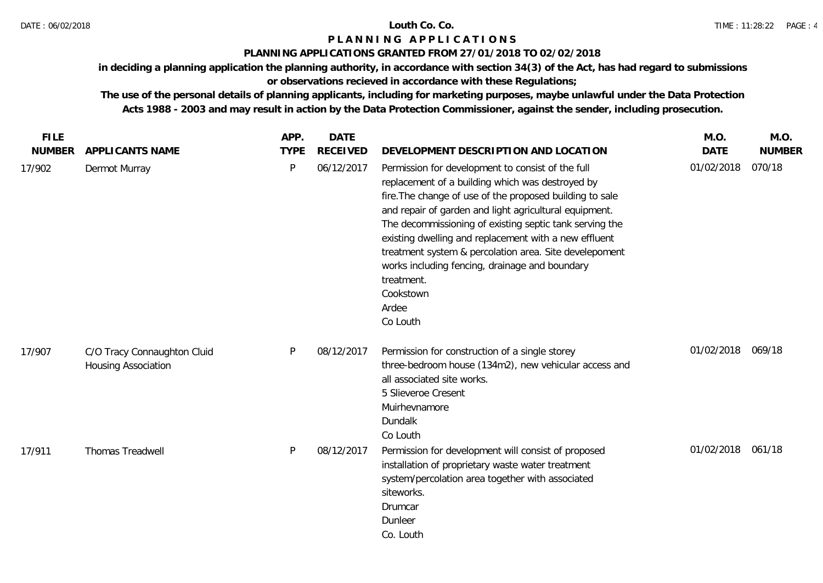### **PLANNING APPLICATIONS GRANTED FROM 27/01/2018 TO 02/02/2018**

**in deciding a planning application the planning authority, in accordance with section 34(3) of the Act, has had regard to submissions** 

# **or observations recieved in accordance with these Regulations;**

| <b>FILE</b>   |                                                    | APP.         | <b>DATE</b>     |                                                                                                                                                                                                                                                                                                                                                                                                                                                                                                             | M.O.              | M.O.          |
|---------------|----------------------------------------------------|--------------|-----------------|-------------------------------------------------------------------------------------------------------------------------------------------------------------------------------------------------------------------------------------------------------------------------------------------------------------------------------------------------------------------------------------------------------------------------------------------------------------------------------------------------------------|-------------------|---------------|
| <b>NUMBER</b> | APPLICANTS NAME                                    | <b>TYPE</b>  | <b>RECEIVED</b> | DEVELOPMENT DESCRIPTION AND LOCATION                                                                                                                                                                                                                                                                                                                                                                                                                                                                        | <b>DATE</b>       | <b>NUMBER</b> |
| 17/902        | Dermot Murray                                      | $\mathsf{P}$ | 06/12/2017      | Permission for development to consist of the full<br>replacement of a building which was destroyed by<br>fire. The change of use of the proposed building to sale<br>and repair of garden and light agricultural equipment.<br>The decommissioning of existing septic tank serving the<br>existing dwelling and replacement with a new effluent<br>treatment system & percolation area. Site develepoment<br>works including fencing, drainage and boundary<br>treatment.<br>Cookstown<br>Ardee<br>Co Louth | 01/02/2018        | 070/18        |
| 17/907        | C/O Tracy Connaughton Cluid<br>Housing Association | P            | 08/12/2017      | Permission for construction of a single storey<br>three-bedroom house (134m2), new vehicular access and<br>all associated site works.<br>5 Slieveroe Cresent<br>Muirhevnamore<br>Dundalk<br>Co Louth                                                                                                                                                                                                                                                                                                        | 01/02/2018 069/18 |               |
| 17/911        | Thomas Treadwell                                   | P            | 08/12/2017      | Permission for development will consist of proposed<br>installation of proprietary waste water treatment<br>system/percolation area together with associated<br>siteworks.<br>Drumcar<br>Dunleer<br>Co. Louth                                                                                                                                                                                                                                                                                               | 01/02/2018 061/18 |               |